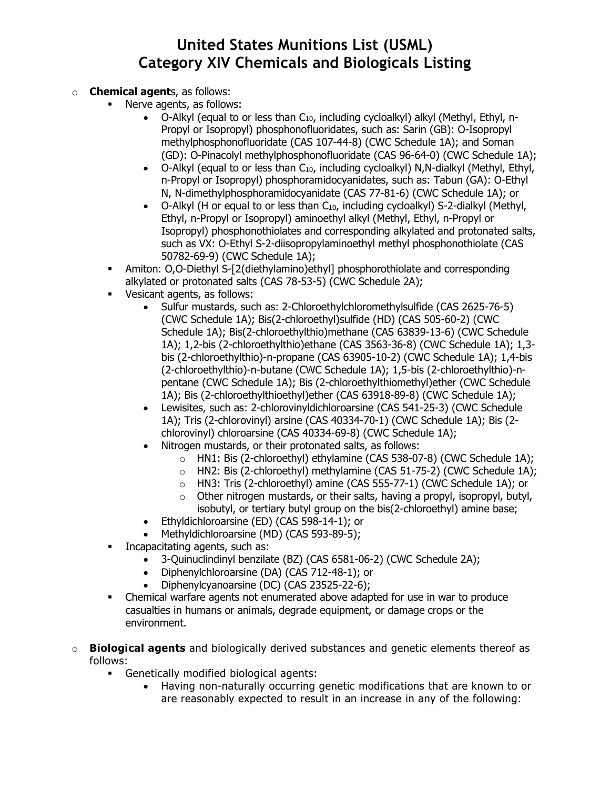### **Chemical agents, as follows:**

- **Nerve agents, as follows:** 
	- O-Alkyl (equal to or less than C10, including cycloalkyl) alkyl (Methyl, Ethyl, n-Propyl or Isopropyl) phosphonofluoridates, such as: Sarin (GB): O-Isopropyl methylphosphonofluoridate (CAS 107-44-8) (CWC Schedule 1A); and Soman (GD): O-Pinacolyl methylphosphonofluoridate (CAS 96-64-0) (CWC Schedule 1A);
	- O-Alkyl (equal to or less than  $C_{10}$ , including cycloalkyl) N,N-dialkyl (Methyl, Ethyl, n-Propyl or Isopropyl) phosphoramidocyanidates, such as: Tabun (GA): O-Ethyl N, N-dimethylphosphoramidocyanidate (CAS 77-81-6) (CWC Schedule 1A); or
	- O-Alkyl (H or equal to or less than C<sub>10</sub>, including cycloalkyl) S-2-dialkyl (Methyl, Ethyl, n-Propyl or Isopropyl) aminoethyl alkyl (Methyl, Ethyl, n-Propyl or Isopropyl) phosphonothiolates and corresponding alkylated and protonated salts, such as VX: O-Ethyl S-2-diisopropylaminoethyl methyl phosphonothiolate (CAS 50782-69-9) (CWC Schedule 1A);
- Amiton: O,O-Diethyl S-[2(diethylamino)ethyl] phosphorothiolate and corresponding alkylated or protonated salts (CAS 78-53-5) (CWC Schedule 2A);
- Vesicant agents, as follows:
	- Sulfur mustards, such as: 2-Chloroethylchloromethylsulfide (CAS 2625-76-5) (CWC Schedule 1A); Bis(2-chloroethyl)sulfide (HD) (CAS 505-60-2) (CWC Schedule 1A); Bis(2-chloroethylthio)methane (CAS 63839-13-6) (CWC Schedule 1A); 1,2-bis (2-chloroethylthio)ethane (CAS 3563-36-8) (CWC Schedule 1A); 1,3 bis (2-chloroethylthio)-n-propane (CAS 63905-10-2) (CWC Schedule 1A); 1,4-bis (2-chloroethylthio)-n-butane (CWC Schedule 1A); 1,5-bis (2-chloroethylthio)-npentane (CWC Schedule 1A); Bis (2-chloroethylthiomethyl)ether (CWC Schedule 1A); Bis (2-chloroethylthioethyl)ether (CAS 63918-89-8) (CWC Schedule 1A);
	- Lewisites, such as: 2-chlorovinyldichloroarsine (CAS 541-25-3) (CWC Schedule 1A); Tris (2-chlorovinyl) arsine (CAS 40334-70-1) (CWC Schedule 1A); Bis (2 chlorovinyl) chloroarsine (CAS 40334-69-8) (CWC Schedule 1A);
	- Nitrogen mustards, or their protonated salts, as follows:
		- o HN1: Bis (2-chloroethyl) ethylamine (CAS 538-07-8) (CWC Schedule 1A);
		- o HN2: Bis (2-chloroethyl) methylamine (CAS 51-75-2) (CWC Schedule 1A);
		- o HN3: Tris (2-chloroethyl) amine (CAS 555-77-1) (CWC Schedule 1A); or
		- $\circ$  Other nitrogen mustards, or their salts, having a propyl, isopropyl, butyl, isobutyl, or tertiary butyl group on the bis(2-chloroethyl) amine base;
	- Ethyldichloroarsine (ED) (CAS 598-14-1); or
	- Methyldichloroarsine (MD) (CAS 593-89-5);
- Incapacitating agents, such as:
	- 3-Quinuclindinyl benzilate (BZ) (CAS 6581-06-2) (CWC Schedule 2A);
	- Diphenylchloroarsine (DA) (CAS 712-48-1); or
	- Diphenylcyanoarsine (DC) (CAS 23525-22-6);
- Chemical warfare agents not enumerated above adapted for use in war to produce casualties in humans or animals, degrade equipment, or damage crops or the environment.
- o **Biological agents** and biologically derived substances and genetic elements thereof as follows:
	- Genetically modified biological agents:
		- Having non-naturally occurring genetic modifications that are known to or are reasonably expected to result in an increase in any of the following: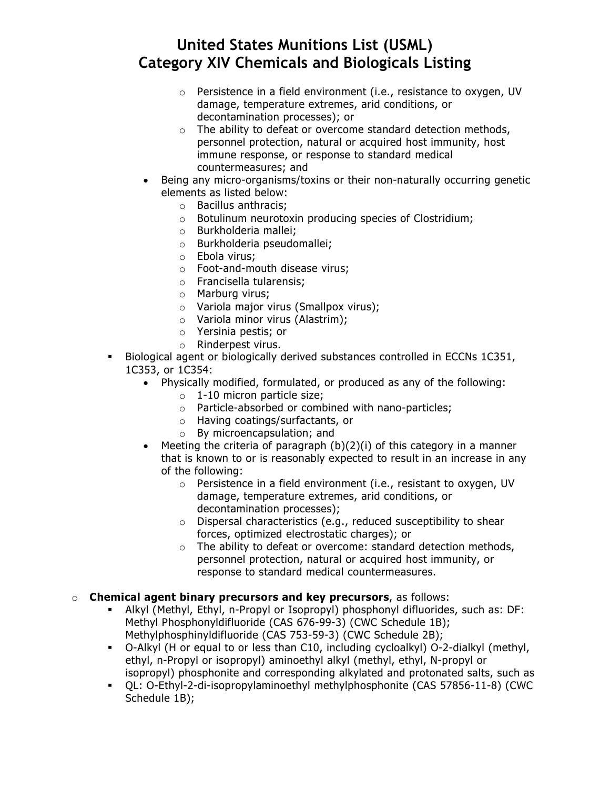- $\circ$  Persistence in a field environment (i.e., resistance to oxygen, UV damage, temperature extremes, arid conditions, or decontamination processes); or
- $\circ$  The ability to defeat or overcome standard detection methods, personnel protection, natural or acquired host immunity, host immune response, or response to standard medical countermeasures; and
- Being any micro-organisms/toxins or their non-naturally occurring genetic elements as listed below:
	- o Bacillus anthracis;
	- o Botulinum neurotoxin producing species of Clostridium;
	- o Burkholderia mallei;
	- o Burkholderia pseudomallei;
	- o Ebola virus;
	- o Foot-and-mouth disease virus;
	- o Francisella tularensis;
	- o Marburg virus;
	- o Variola major virus (Smallpox virus);
	- o Variola minor virus (Alastrim);
	- o Yersinia pestis; or
	- o Rinderpest virus.
- Biological agent or biologically derived substances controlled in ECCNs 1C351, 1C353, or 1C354:
	- Physically modified, formulated, or produced as any of the following:
		- o 1-10 micron particle size;
		- o Particle-absorbed or combined with nano-particles;
		- o Having coatings/surfactants, or
		- o By microencapsulation; and
	- Meeting the criteria of paragraph  $(b)(2)(i)$  of this category in a manner that is known to or is reasonably expected to result in an increase in any of the following:
		- o Persistence in a field environment (i.e., resistant to oxygen, UV damage, temperature extremes, arid conditions, or decontamination processes);
		- o Dispersal characteristics (e.g., reduced susceptibility to shear forces, optimized electrostatic charges); or
		- o The ability to defeat or overcome: standard detection methods, personnel protection, natural or acquired host immunity, or response to standard medical countermeasures.

#### o **Chemical agent binary precursors and key precursors**, as follows:

- Alkyl (Methyl, Ethyl, n-Propyl or Isopropyl) phosphonyl difluorides, such as: DF: Methyl Phosphonyldifluoride (CAS 676-99-3) (CWC Schedule 1B); Methylphosphinyldifluoride (CAS 753-59-3) (CWC Schedule 2B);
- O-Alkyl (H or equal to or less than C10, including cycloalkyl) O-2-dialkyl (methyl, ethyl, n-Propyl or isopropyl) aminoethyl alkyl (methyl, ethyl, N-propyl or isopropyl) phosphonite and corresponding alkylated and protonated salts, such as
- QL: O-Ethyl-2-di-isopropylaminoethyl methylphosphonite (CAS 57856-11-8) (CWC Schedule 1B);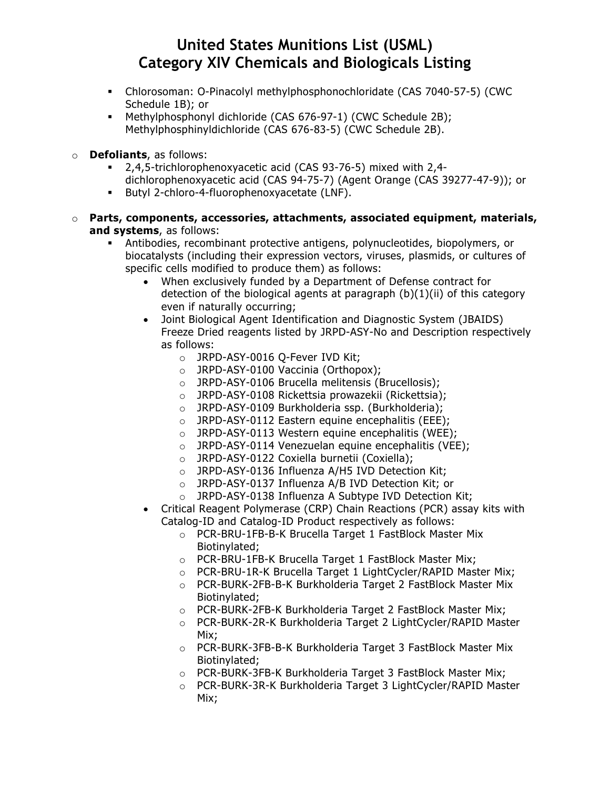- Chlorosoman: O-Pinacolyl methylphosphonochloridate (CAS 7040-57-5) (CWC Schedule 1B); or
- Methylphosphonyl dichloride (CAS 676-97-1) (CWC Schedule 2B); Methylphosphinyldichloride (CAS 676-83-5) (CWC Schedule 2B).
- **Defoliants**, as follows:
	- 2,4,5-trichlorophenoxyacetic acid (CAS 93-76-5) mixed with 2,4 dichlorophenoxyacetic acid (CAS 94-75-7) (Agent Orange (CAS 39277-47-9)); or
	- Butyl 2-chloro-4-fluorophenoxyacetate (LNF).
- o **Parts, components, accessories, attachments, associated equipment, materials, and systems**, as follows:
	- Antibodies, recombinant protective antigens, polynucleotides, biopolymers, or biocatalysts (including their expression vectors, viruses, plasmids, or cultures of specific cells modified to produce them) as follows:
		- When exclusively funded by a Department of Defense contract for detection of the biological agents at paragraph (b)(1)(ii) of this category even if naturally occurring;
		- Joint Biological Agent Identification and Diagnostic System (JBAIDS) Freeze Dried reagents listed by JRPD-ASY-No and Description respectively as follows:
			- o JRPD-ASY-0016 Q-Fever IVD Kit;
			- o JRPD-ASY-0100 Vaccinia (Orthopox);
			- o JRPD-ASY-0106 Brucella melitensis (Brucellosis);
			- o JRPD-ASY-0108 Rickettsia prowazekii (Rickettsia);
			- o JRPD-ASY-0109 Burkholderia ssp. (Burkholderia);
			- o JRPD-ASY-0112 Eastern equine encephalitis (EEE);
			- o JRPD-ASY-0113 Western equine encephalitis (WEE);
			- o JRPD-ASY-0114 Venezuelan equine encephalitis (VEE);
			- o JRPD-ASY-0122 Coxiella burnetii (Coxiella);
			- o JRPD-ASY-0136 Influenza A/H5 IVD Detection Kit;
			- o JRPD-ASY-0137 Influenza A/B IVD Detection Kit; or
			- o JRPD-ASY-0138 Influenza A Subtype IVD Detection Kit;
		- Critical Reagent Polymerase (CRP) Chain Reactions (PCR) assay kits with Catalog-ID and Catalog-ID Product respectively as follows:
			- o PCR-BRU-1FB-B-K Brucella Target 1 FastBlock Master Mix Biotinylated;
			- o PCR-BRU-1FB-K Brucella Target 1 FastBlock Master Mix;
			- o PCR-BRU-1R-K Brucella Target 1 LightCycler/RAPID Master Mix;
			- o PCR-BURK-2FB-B-K Burkholderia Target 2 FastBlock Master Mix Biotinylated;
			- o PCR-BURK-2FB-K Burkholderia Target 2 FastBlock Master Mix;
			- o PCR-BURK-2R-K Burkholderia Target 2 LightCycler/RAPID Master Mix;
			- o PCR-BURK-3FB-B-K Burkholderia Target 3 FastBlock Master Mix Biotinylated;
			- o PCR-BURK-3FB-K Burkholderia Target 3 FastBlock Master Mix;
			- o PCR-BURK-3R-K Burkholderia Target 3 LightCycler/RAPID Master Mix;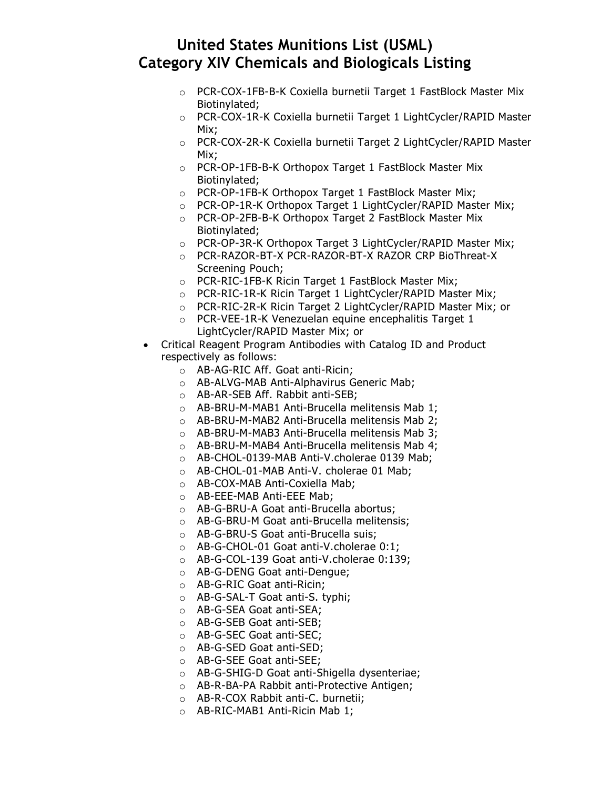- o PCR-COX-1FB-B-K Coxiella burnetii Target 1 FastBlock Master Mix Biotinylated;
- o PCR-COX-1R-K Coxiella burnetii Target 1 LightCycler/RAPID Master Mix;
- o PCR-COX-2R-K Coxiella burnetii Target 2 LightCycler/RAPID Master Mix;
- o PCR-OP-1FB-B-K Orthopox Target 1 FastBlock Master Mix Biotinylated;
- o PCR-OP-1FB-K Orthopox Target 1 FastBlock Master Mix;
- o PCR-OP-1R-K Orthopox Target 1 LightCycler/RAPID Master Mix;
- o PCR-OP-2FB-B-K Orthopox Target 2 FastBlock Master Mix Biotinylated;
- o PCR-OP-3R-K Orthopox Target 3 LightCycler/RAPID Master Mix;
- o PCR-RAZOR-BT-X PCR-RAZOR-BT-X RAZOR CRP BioThreat-X Screening Pouch;
- o PCR-RIC-1FB-K Ricin Target 1 FastBlock Master Mix;
- o PCR-RIC-1R-K Ricin Target 1 LightCycler/RAPID Master Mix;
- o PCR-RIC-2R-K Ricin Target 2 LightCycler/RAPID Master Mix; or
- o PCR-VEE-1R-K Venezuelan equine encephalitis Target 1 LightCycler/RAPID Master Mix; or
- Critical Reagent Program Antibodies with Catalog ID and Product respectively as follows:
	- o AB-AG-RIC Aff. Goat anti-Ricin;
	- o AB-ALVG-MAB Anti-Alphavirus Generic Mab;
	- o AB-AR-SEB Aff. Rabbit anti-SEB;
	- o AB-BRU-M-MAB1 Anti-Brucella melitensis Mab 1;
	- o AB-BRU-M-MAB2 Anti-Brucella melitensis Mab 2;
	- o AB-BRU-M-MAB3 Anti-Brucella melitensis Mab 3;
	- o AB-BRU-M-MAB4 Anti-Brucella melitensis Mab 4;
	- o AB-CHOL-0139-MAB Anti-V.cholerae 0139 Mab;
	- o AB-CHOL-01-MAB Anti-V. cholerae 01 Mab;
	- o AB-COX-MAB Anti-Coxiella Mab;
	- o AB-EEE-MAB Anti-EEE Mab;
	- o AB-G-BRU-A Goat anti-Brucella abortus;
	- o AB-G-BRU-M Goat anti-Brucella melitensis;
	- o AB-G-BRU-S Goat anti-Brucella suis;
	- o AB-G-CHOL-01 Goat anti-V.cholerae 0:1;
	- o AB-G-COL-139 Goat anti-V.cholerae 0:139;
	- o AB-G-DENG Goat anti-Dengue;
	- o AB-G-RIC Goat anti-Ricin;
	- o AB-G-SAL-T Goat anti-S. typhi;
	- o AB-G-SEA Goat anti-SEA;
	- o AB-G-SEB Goat anti-SEB;
	- o AB-G-SEC Goat anti-SEC;
	- o AB-G-SED Goat anti-SED;
	- o AB-G-SEE Goat anti-SEE;
	- o AB-G-SHIG-D Goat anti-Shigella dysenteriae;
	- o AB-R-BA-PA Rabbit anti-Protective Antigen;
	- o AB-R-COX Rabbit anti-C. burnetii;
	- o AB-RIC-MAB1 Anti-Ricin Mab 1;